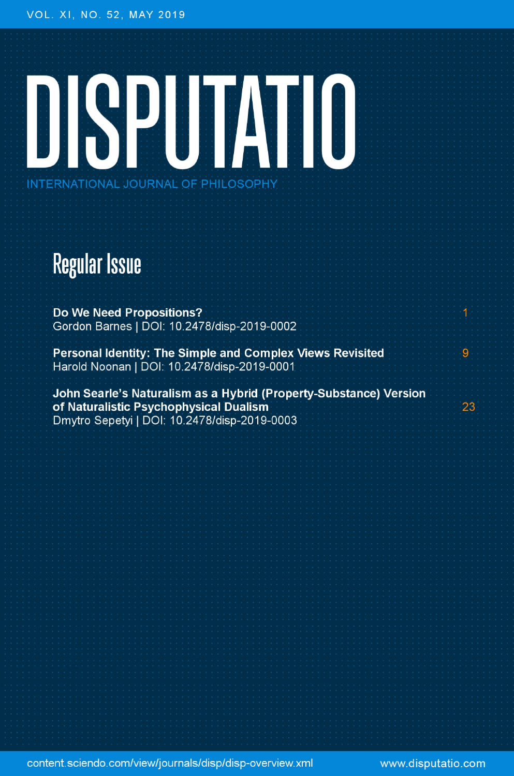# DISPUTATIO INTERNATIONAL JOURNAL OF PHILOSOPHY

### **Regular Issue**

**Do We Need Propositions?** Gordon Barnes | DOI: 10.2478/disp-2019-0002

Personal Identity: The Simple and Complex Views Revisited Harold Noonan | DOI: 10.2478/disp-2019-0001

John Searle's Naturalism as a Hybrid (Property-Substance) Version of Naturalistic Psychophysical Dualism Dmytro Sepetyi | DOI: 10.2478/disp-2019-0003

content.sciendo.com/view/journals/disp/disp-overview.xml

www.disputatio.com

ġ

23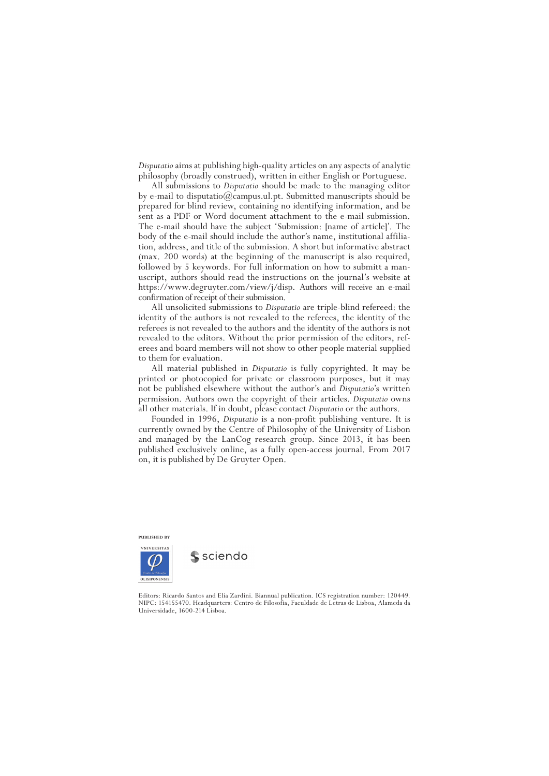*Disputatio* aims at publishing high-quality articles on any aspects of analytic philosophy (broadly construed), written in either English or Portuguese.

All submissions to *Disputatio* should be made to the managing editor by e-mail to disputatio@campus.ul.pt. Submitted manuscripts should be prepared for blind review, containing no identifying information, and be sent as a PDF or Word document attachment to the e-mail submission. The e-mail should have the subject 'Submission: [name of article]'. The body of the e-mail should include the author's name, institutional affiliation, address, and title of the submission. A short but informative abstract (max. 200 words) at the beginning of the manuscript is also required, followed by 5 keywords. For full information on how to submitt a manuscript, authors should read the instructions on the journal's website at https://www.degruyter.com/view/j/disp. Authors will receive an e-mail confirmation of receipt of their submission.

All unsolicited submissions to *Disputatio* are triple-blind refereed: the identity of the authors is not revealed to the referees, the identity of the referees is not revealed to the authors and the identity of the authors is not revealed to the editors. Without the prior permission of the editors, referees and board members will not show to other people material supplied to them for evaluation.

All material published in *Disputatio* is fully copyrighted. It may be printed or photocopied for private or classroom purposes, but it may not be published elsewhere without the author's and *Disputatio*'s written permission. Authors own the copyright of their articles. *Disputatio* owns all other materials. If in doubt, please contact *Disputatio* or the authors.

Founded in 1996, *Disputatio* is a non-profit publishing venture. It is currently owned by the Centre of Philosophy of the University of Lisbon and managed by the LanCog research group. Since 2013, it has been published exclusively online, as a fully open-access journal. From 2017 on, it is published by De Gruyter Open.



sciendo

Editors: Ricardo Santos and Elia Zardini. Biannual publication. ICS registration number: 120449. NIPC: 154155470. Headquarters: Centro de Filosofia, Faculdade de Letras de Lisboa, Alameda da Universidade, 1600-214 Lisboa.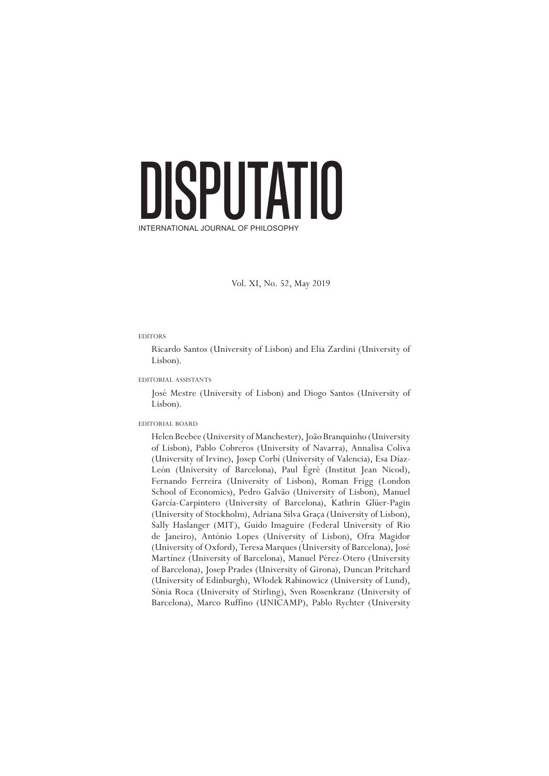## DISPUTATIO INTERNATIONAL JOURNAL OF PHILOSOPHY

Vol. XI, No. 52, May 2019

### **EDITORS**

Ricardo Santos (University of Lisbon) and Elia Zardini (University of Lisbon).

editorial assistants

José Mestre (University of Lisbon) and Diogo Santos (University of Lisbon).

### editorial board

Helen Beebee (University of Manchester), João Branquinho (University of Lisbon), Pablo Cobreros (University of Navarra), Annalisa Coliva (University of Irvine), Josep Corbí (University of Valencia), Esa Díaz-León (University of Barcelona), Paul Égré (Institut Jean Nicod), Fernando Ferreira (University of Lisbon), Roman Frigg (London School of Economics), Pedro Galvão (University of Lisbon), Manuel García-Carpintero (University of Barcelona), Kathrin Glüer-Pagin (University of Stockholm), Adriana Silva Graça (University of Lisbon), Sally Haslanger (MIT), Guido Imaguire (Federal University of Rio de Janeiro), António Lopes (University of Lisbon), Ofra Magidor (University of Oxford), Teresa Marques (University of Barcelona), José Martínez (University of Barcelona), Manuel Pérez-Otero (University of Barcelona), Josep Prades (University of Girona), Duncan Pritchard (University of Edinburgh), Włodek Rabinowicz (University of Lund), Sònia Roca (University of Stirling), Sven Rosenkranz (University of Barcelona), Marco Ruffino (UNICAMP), Pablo Rychter (University